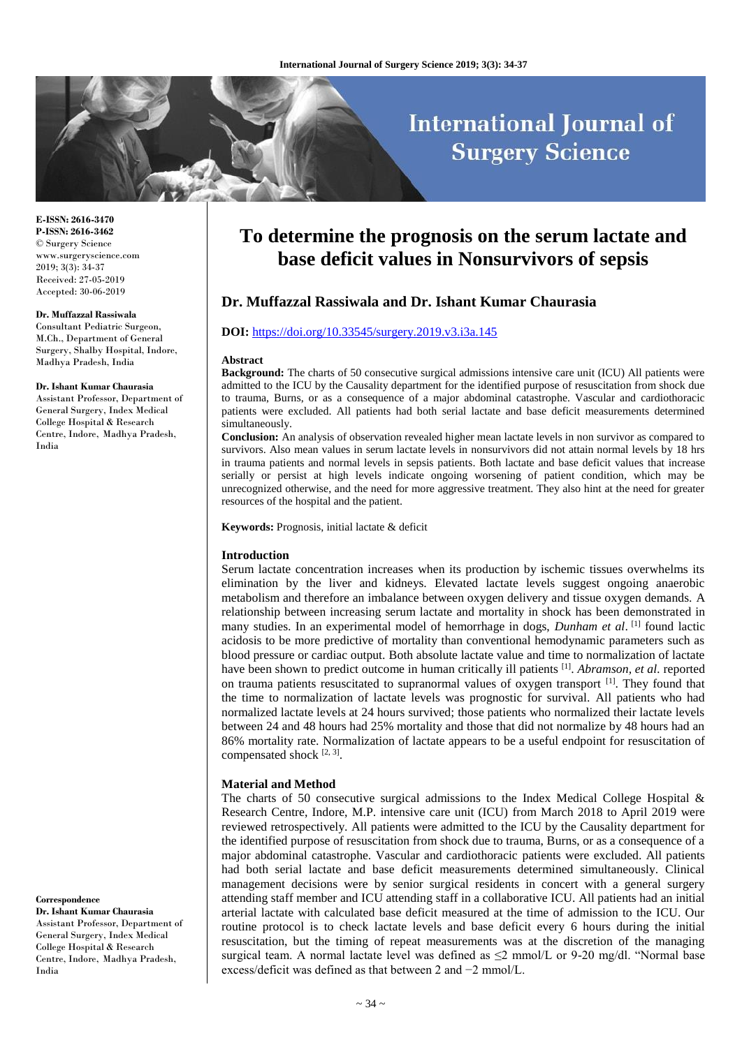# **International Journal of Surgery Science**

**E-ISSN: 2616-3470 P-ISSN: 2616-3462** © Surgery Science www.surgeryscience.com 2019; 3(3): 34-37 Received: 27-05-2019 Accepted: 30-06-2019

#### **Dr. Muffazzal Rassiwala**

Consultant Pediatric Surgeon, M.Ch., Department of General Surgery, Shalby Hospital, Indore, Madhya Pradesh, India

#### **Dr. Ishant Kumar Chaurasia**

Assistant Professor, Department of General Surgery, Index Medical College Hospital & Research Centre, Indore, Madhya Pradesh, India

**Correspondence**

**Dr. Ishant Kumar Chaurasia** Assistant Professor, Department of General Surgery, Index Medical College Hospital & Research Centre, Indore, Madhya Pradesh, India

## **To determine the prognosis on the serum lactate and base deficit values in Nonsurvivors of sepsis**

## **Dr. Muffazzal Rassiwala and Dr. Ishant Kumar Chaurasia**

#### **DOI:** <https://doi.org/10.33545/surgery.2019.v3.i3a.145>

#### **Abstract**

**Background:** The charts of 50 consecutive surgical admissions intensive care unit (ICU) All patients were admitted to the ICU by the Causality department for the identified purpose of resuscitation from shock due to trauma, Burns, or as a consequence of a major abdominal catastrophe. Vascular and cardiothoracic patients were excluded. All patients had both serial lactate and base deficit measurements determined simultaneously.

**Conclusion:** An analysis of observation revealed higher mean lactate levels in non survivor as compared to survivors. Also mean values in serum lactate levels in nonsurvivors did not attain normal levels by 18 hrs in trauma patients and normal levels in sepsis patients. Both lactate and base deficit values that increase serially or persist at high levels indicate ongoing worsening of patient condition, which may be unrecognized otherwise, and the need for more aggressive treatment. They also hint at the need for greater resources of the hospital and the patient.

**Keywords:** Prognosis, initial lactate & deficit

#### **Introduction**

Serum lactate concentration increases when its production by ischemic tissues overwhelms its elimination by the liver and kidneys. Elevated lactate levels suggest ongoing anaerobic metabolism and therefore an imbalance between oxygen delivery and tissue oxygen demands. A relationship between increasing serum lactate and mortality in shock has been demonstrated in many studies. In an experimental model of hemorrhage in dogs, *Dunham et al.* [1] found lactic acidosis to be more predictive of mortality than conventional hemodynamic parameters such as blood pressure or cardiac output. Both absolute lactate value and time to normalization of lactate have been shown to predict outcome in human critically ill patients <sup>[1]</sup>. *Abramson, et al.* reported on trauma patients resuscitated to supranormal values of oxygen transport <sup>[1]</sup>. They found that the time to normalization of lactate levels was prognostic for survival. All patients who had normalized lactate levels at 24 hours survived; those patients who normalized their lactate levels between 24 and 48 hours had 25% mortality and those that did not normalize by 48 hours had an 86% mortality rate. Normalization of lactate appears to be a useful endpoint for resuscitation of compensated shock  $[2, 3]$ .

### **Material and Method**

The charts of 50 consecutive surgical admissions to the Index Medical College Hospital & Research Centre, Indore, M.P. intensive care unit (ICU) from March 2018 to April 2019 were reviewed retrospectively. All patients were admitted to the ICU by the Causality department for the identified purpose of resuscitation from shock due to trauma, Burns, or as a consequence of a major abdominal catastrophe. Vascular and cardiothoracic patients were excluded. All patients had both serial lactate and base deficit measurements determined simultaneously. Clinical management decisions were by senior surgical residents in concert with a general surgery attending staff member and ICU attending staff in a collaborative ICU. All patients had an initial arterial lactate with calculated base deficit measured at the time of admission to the ICU. Our routine protocol is to check lactate levels and base deficit every 6 hours during the initial resuscitation, but the timing of repeat measurements was at the discretion of the managing surgical team. A normal lactate level was defined as  $\leq$ 2 mmol/L or 9-20 mg/dl. "Normal base excess/deficit was defined as that between 2 and −2 mmol/L.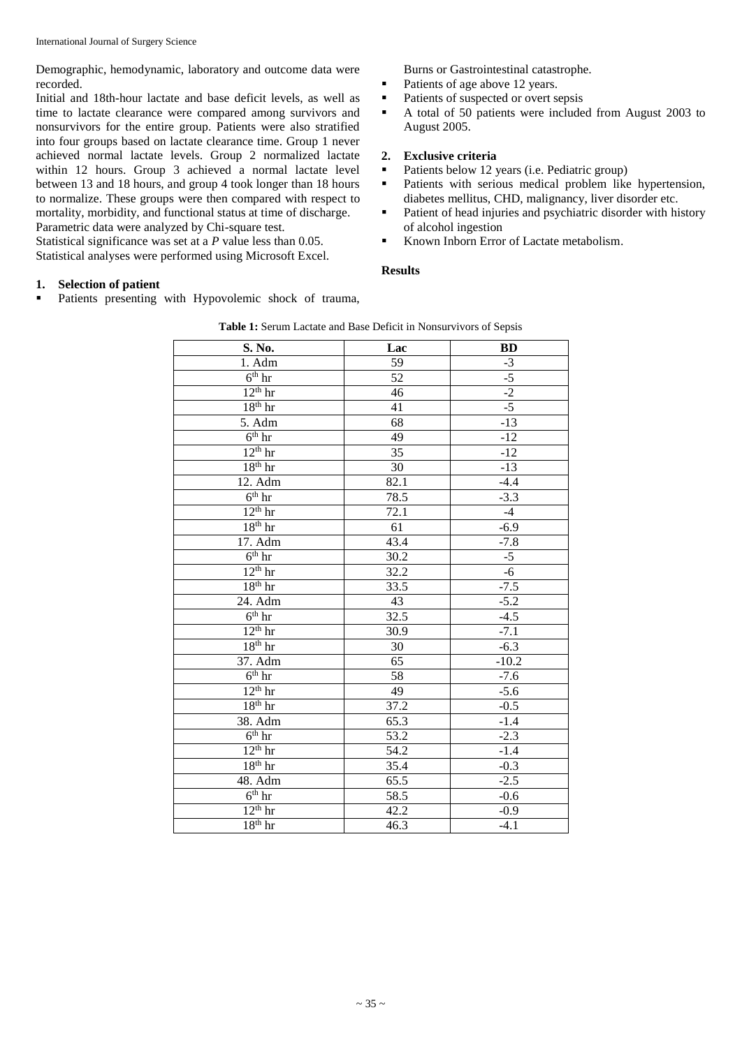Demographic, hemodynamic, laboratory and outcome data were recorded.

Initial and 18th-hour lactate and base deficit levels, as well as time to lactate clearance were compared among survivors and nonsurvivors for the entire group. Patients were also stratified into four groups based on lactate clearance time. Group 1 never achieved normal lactate levels. Group 2 normalized lactate within 12 hours. Group 3 achieved a normal lactate level between 13 and 18 hours, and group 4 took longer than 18 hours to normalize. These groups were then compared with respect to mortality, morbidity, and functional status at time of discharge. Parametric data were analyzed by Chi-square test.

Statistical significance was set at a *P* value less than 0.05. Statistical analyses were performed using Microsoft Excel.

### Burns or Gastrointestinal catastrophe.

- Patients of age above 12 years.
- Patients of suspected or overt sepsis
- A total of 50 patients were included from August 2003 to August 2005.

## **2. Exclusive criteria**

- Patients below 12 years (i.e. Pediatric group)
- **Patients with serious medical problem like hypertension,** diabetes mellitus, CHD, malignancy, liver disorder etc.
- **Patient of head injuries and psychiatric disorder with history** of alcohol ingestion
- Known Inborn Error of Lactate metabolism.

#### **Results**

## **1. Selection of patient**

Patients presenting with Hypovolemic shock of trauma,

| S. No.                         | Lac               | <b>BD</b>         |
|--------------------------------|-------------------|-------------------|
| 1. Adm                         | 59                | $-3$              |
| $6th$ hr                       | 52                | $-5$              |
| $\overline{12^{th}}$ hr        | 46                | $-2$              |
| $18th$ hr                      | 41                | $-5$              |
| 5. Adm                         | 68                | $-13$             |
| $6th$ hr                       | 49                | $-12$             |
| $\overline{12^{th}}$ hr        | 35                | $-12$             |
| $18th$ hr                      | 30                | $-13$             |
| 12. Adm                        | 82.1              | $-4.4$            |
| $6th$ hr                       | 78.5              | $-3.3$            |
| $\overline{12^{th}}$ hr        | 72.1              | $-4$              |
| $18th$ hr                      | 61                | $-6.9$            |
| 17. Adm                        | 43.4              | $-7.8$            |
| $6th$ hr                       | 30.2              | $-5$              |
| $12th$ hr                      | 32.2              | $-6$              |
| $18th$ hr                      | 33.5              | $-7.5$            |
| 24. Adm                        | 43                | $-5.2$            |
| $6th$ hr                       | 32.5              | $-4.5$            |
| $\overline{1}2^{\text{th}}$ hr | 30.9              | $-7.1$            |
| $18^{\rm th}$ hr               | 30                | $-6.\overline{3}$ |
| 37. Adm                        | 65                | $-10.2$           |
| $\overline{6^{th}}$ hr         | 58                | $-7.6$            |
| $12th$ hr                      | 49                | $-5.6$            |
| $18th$ hr                      | 37.2              | $-0.5$            |
| $38.$ Adm                      | 65.3              | $-1.4$            |
| $\overline{6^{th}}$ hr         | $\overline{53.2}$ | $-2.3$            |
| $12th$ hr                      | 54.2              | $-1.4$            |
| $18th$ hr                      | 35.4              | $-0.3$            |
| $48.$ Adm                      | 65.5              | $-2.5$            |
| $6th$ hr                       | 58.5              | $-0.6$            |
| $12th$ hr                      | 42.2              | $-0.9$            |
| $18th$ hr                      | 46.3              | $-4.1$            |

**Table 1:** Serum Lactate and Base Deficit in Nonsurvivors of Sepsis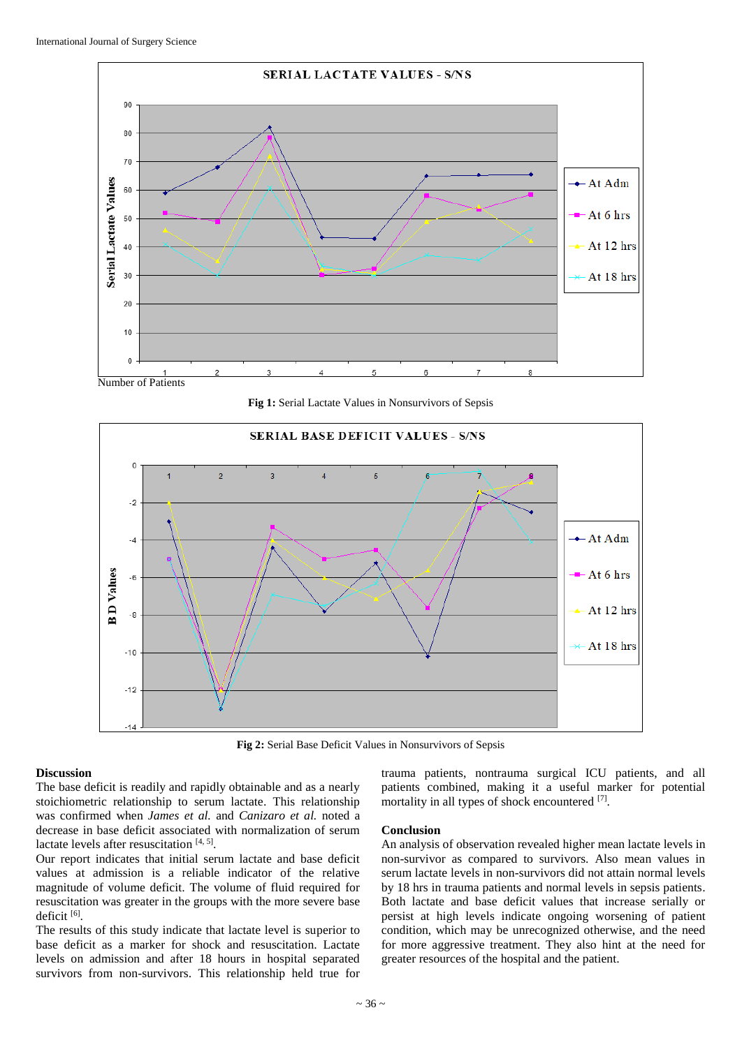

**Fig 1:** Serial Lactate Values in Nonsurvivors of Sepsis



**Fig 2:** Serial Base Deficit Values in Nonsurvivors of Sepsis

#### **Discussion**

The base deficit is readily and rapidly obtainable and as a nearly stoichiometric relationship to serum lactate. This relationship was confirmed when *James et al.* and *Canizaro et al.* noted a decrease in base deficit associated with normalization of serum lactate levels after resuscitation [4, 5].

Our report indicates that initial serum lactate and base deficit values at admission is a reliable indicator of the relative magnitude of volume deficit. The volume of fluid required for resuscitation was greater in the groups with the more severe base deficit [6].

The results of this study indicate that lactate level is superior to base deficit as a marker for shock and resuscitation. Lactate levels on admission and after 18 hours in hospital separated survivors from non-survivors. This relationship held true for

trauma patients, nontrauma surgical ICU patients, and all patients combined, making it a useful marker for potential mortality in all types of shock encountered [7].

#### **Conclusion**

An analysis of observation revealed higher mean lactate levels in non-survivor as compared to survivors. Also mean values in serum lactate levels in non-survivors did not attain normal levels by 18 hrs in trauma patients and normal levels in sepsis patients. Both lactate and base deficit values that increase serially or persist at high levels indicate ongoing worsening of patient condition, which may be unrecognized otherwise, and the need for more aggressive treatment. They also hint at the need for greater resources of the hospital and the patient.